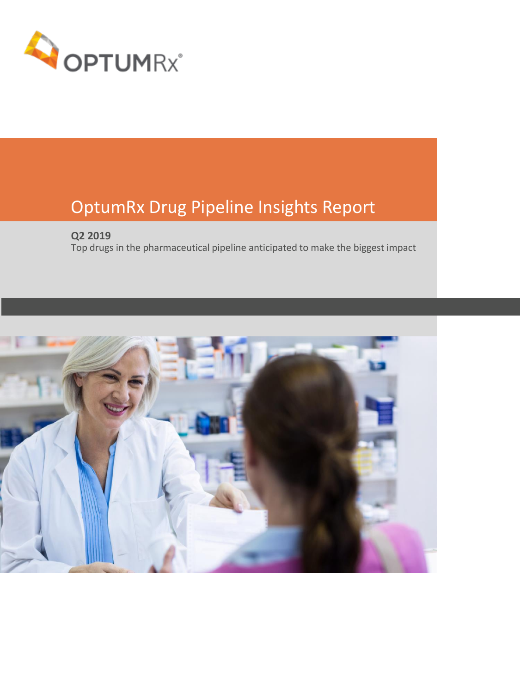

# OptumRx Drug Pipeline Insights Report

## **Q2 2019**

Top drugs in the pharmaceutical pipeline anticipated to make the biggest impact

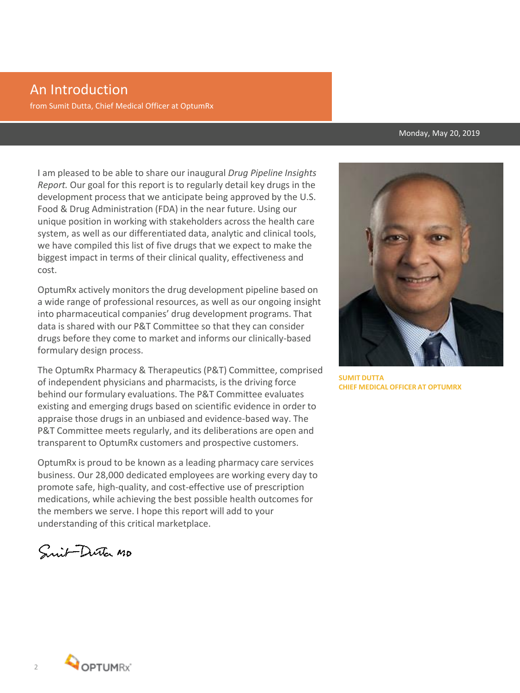# An Introduction

from Sumit Dutta, Chief Medical Officer at OptumRx

#### Monday, May 20, 2019

I am pleased to be able to share our inaugural *Drug Pipeline Insights Report.* Our goal for this report is to regularly detail key drugs in the development process that we anticipate being approved by the U.S. Food & Drug Administration (FDA) in the near future. Using our unique position in working with stakeholders across the health care system, as well as our differentiated data, analytic and clinical tools, we have compiled this list of five drugs that we expect to make the biggest impact in terms of their clinical quality, effectiveness and cost.

OptumRx actively monitors the drug development pipeline based on a wide range of professional resources, as well as our ongoing insight into pharmaceutical companies' drug development programs. That data is shared with our P&T Committee so that they can consider drugs before they come to market and informs our clinically-based formulary design process.

The OptumRx Pharmacy & Therapeutics (P&T) Committee, comprised of independent physicians and pharmacists, is the driving force behind our formulary evaluations. The P&T Committee evaluates existing and emerging drugs based on scientific evidence in order to appraise those drugs in an unbiased and evidence-based way. The P&T Committee meets regularly, and its deliberations are open and transparent to OptumRx customers and prospective customers.

OptumRx is proud to be known as a leading pharmacy care services business. Our 28,000 dedicated employees are working every day to promote safe, high-quality, and cost-effective use of prescription medications, while achieving the best possible health outcomes for the members we serve. I hope this report will add to your understanding of this critical marketplace.

Snit-Dutter MD



**SUMIT DUTTA CHIEF MEDICAL OFFICER AT OPTUMRX**

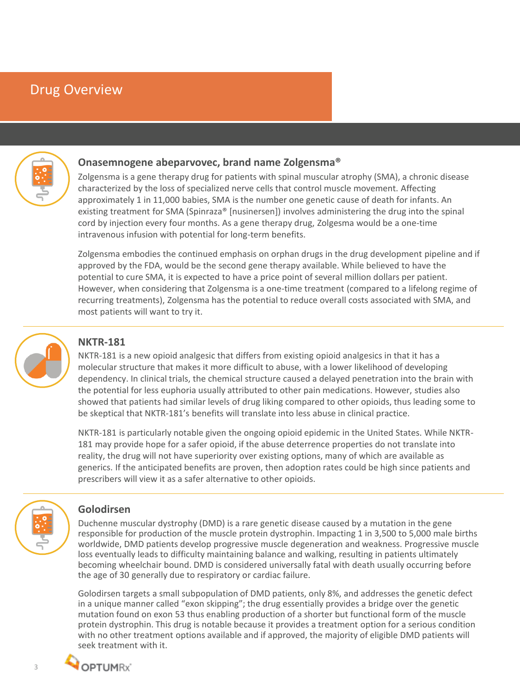## Drug Overview



### **Onasemnogene abeparvovec, brand name Zolgensma®**

Zolgensma is a gene therapy drug for patients with spinal muscular atrophy (SMA), a chronic disease characterized by the loss of specialized nerve cells that control muscle movement. Affecting approximately 1 in 11,000 babies, SMA is the number one genetic cause of death for infants. An existing treatment for SMA (Spinraza® [nusinersen]) involves administering the drug into the spinal cord by injection every four months. As a gene therapy drug, Zolgesma would be a one-time intravenous infusion with potential for long-term benefits.

Zolgensma embodies the continued emphasis on orphan drugs in the drug development pipeline and if approved by the FDA, would be the second gene therapy available. While believed to have the potential to cure SMA, it is expected to have a price point of several million dollars per patient. However, when considering that Zolgensma is a one-time treatment (compared to a lifelong regime of recurring treatments), Zolgensma has the potential to reduce overall costs associated with SMA, and most patients will want to try it.



## **NKTR-181**

NKTR-181 is a new opioid analgesic that differs from existing opioid analgesics in that it has a molecular structure that makes it more difficult to abuse, with a lower likelihood of developing dependency. In clinical trials, the chemical structure caused a delayed penetration into the brain with the potential for less euphoria usually attributed to other pain medications. However, studies also showed that patients had similar levels of drug liking compared to other opioids, thus leading some to be skeptical that NKTR-181's benefits will translate into less abuse in clinical practice.

NKTR-181 is particularly notable given the ongoing opioid epidemic in the United States. While NKTR-181 may provide hope for a safer opioid, if the abuse deterrence properties do not translate into reality, the drug will not have superiority over existing options, many of which are available as generics. If the anticipated benefits are proven, then adoption rates could be high since patients and prescribers will view it as a safer alternative to other opioids.



#### **Golodirsen**

Duchenne muscular dystrophy (DMD) is a rare genetic disease caused by a mutation in the gene responsible for production of the muscle protein dystrophin. Impacting 1 in 3,500 to 5,000 male births worldwide, DMD patients develop progressive muscle degeneration and weakness. Progressive muscle loss eventually leads to difficulty maintaining balance and walking, resulting in patients ultimately becoming wheelchair bound. DMD is considered universally fatal with death usually occurring before the age of 30 generally due to respiratory or cardiac failure.

Golodirsen targets a small subpopulation of DMD patients, only 8%, and addresses the genetic defect in a unique manner called "exon skipping"; the drug essentially provides a bridge over the genetic mutation found on exon 53 thus enabling production of a shorter but functional form of the muscle protein dystrophin. This drug is notable because it provides a treatment option for a serious condition with no other treatment options available and if approved, the majority of eligible DMD patients will seek treatment with it.

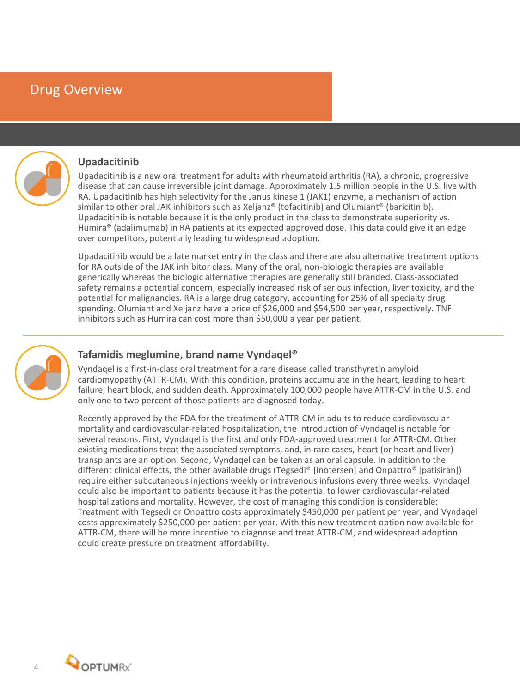## Drug Overview



#### **Upadacitinib**

Upadacitinib is a new oral treatment for adults with rheumatoid arthritis (RA), a chronic, progressive disease that can cause irreversible joint damage. Approximately 1.5 million people in the U.S. live with RA. Upadacitinib has high selectivity for the Janus kinase 1 (JAK1) enzyme, a mechanism of action similar to other oral JAK inhibitors such as Xeljanz® (tofacitinib) and Olumiant® (baricitinib). Upadacitinib is notable because it is the only product in the class to demonstrate superiority vs. Humira® (adalimumab) in RA patients at its expected approved dose. This data could give it an edge over competitors, potentially leading to widespread adoption.

Upadacitinib would be a late market entry in the class and there are also alternative treatment options for RA outside of the JAK inhibitor class. Many of the oral, non-biologic therapies are available generically whereas the biologic alternative therapies are generally still branded. Class-associated safety remains a potential concern, especially increased risk of serious infection, liver toxicity, and the potential for malignancies. RA is a large drug category, accounting for 25% of all specialty drug spending. Olumiant and Xeljanz have a price of \$26,000 and \$54,500 per year, respectively. TNF inhibitors such as Humira can cost more than \$50,000 a year per patient.



#### **Tafamidis meglumine, brand name Vyndaqel®**

Vyndaqel is a first-in-class oral treatment for a rare disease called transthyretin amyloid cardiomyopathy (ATTR-CM). With this condition, proteins accumulate in the heart, leading to heart failure, heart block, and sudden death. Approximately 100,000 people have ATTR-CM in the U.S. and only one to two percent of those patients are diagnosed today.

Recently approved by the FDA for the treatment of ATTR-CM in adults to reduce cardiovascular mortality and cardiovascular-related hospitalization, the introduction of Vyndaqel is notable for several reasons. First, Vyndaqel is the first and only FDA-approved treatment for ATTR-CM. Other existing medications treat the associated symptoms, and, in rare cases, heart (or heart and liver) transplants are an option. Second, Vyndaqel can be taken as an oral capsule. In addition to the different clinical effects, the other available drugs (Tegsedi® [inotersen] and Onpattro® [patisiran]) require either subcutaneous injections weekly or intravenous infusions every three weeks. Vyndaqel could also be important to patients because it has the potential to lower cardiovascular-related hospitalizations and mortality. However, the cost of managing this condition is considerable: Treatment with Tegsedi or Onpattro costs approximately \$450,000 per patient per year, and Vyndaqel costs approximately \$250,000 per patient per year. With this new treatment option now available for ATTR-CM, there will be more incentive to diagnose and treat ATTR-CM, and widespread adoption could create pressure on treatment affordability.

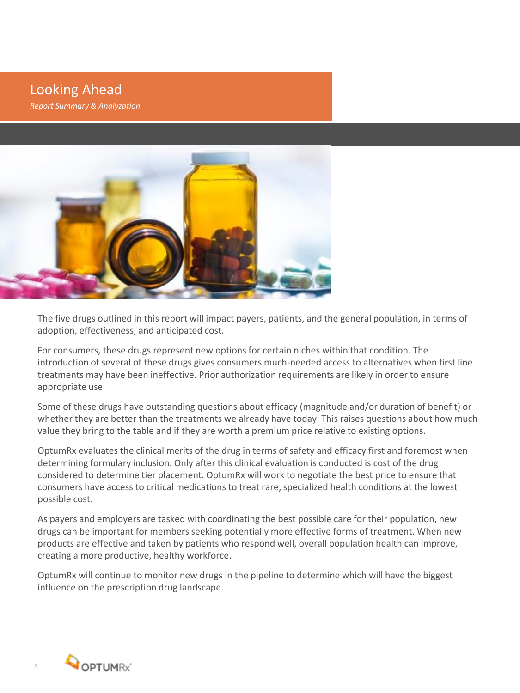Looking Ahead *Report Summary & Analyzation* 



The five drugs outlined in this report will impact payers, patients, and the general population, in terms of adoption, effectiveness, and anticipated cost.

For consumers, these drugs represent new options for certain niches within that condition. The introduction of several of these drugs gives consumers much-needed access to alternatives when first line treatments may have been ineffective. Prior authorization requirements are likely in order to ensure appropriate use.

Some of these drugs have outstanding questions about efficacy (magnitude and/or duration of benefit) or whether they are better than the treatments we already have today. This raises questions about how much value they bring to the table and if they are worth a premium price relative to existing options.

OptumRx evaluates the clinical merits of the drug in terms of safety and efficacy first and foremost when determining formulary inclusion. Only after this clinical evaluation is conducted is cost of the drug considered to determine tier placement. OptumRx will work to negotiate the best price to ensure that consumers have access to critical medications to treat rare, specialized health conditions at the lowest possible cost.

As payers and employers are tasked with coordinating the best possible care for their population, new drugs can be important for members seeking potentially more effective forms of treatment. When new products are effective and taken by patients who respond well, overall population health can improve, creating a more productive, healthy workforce.

OptumRx will continue to monitor new drugs in the pipeline to determine which will have the biggest influence on the prescription drug landscape.